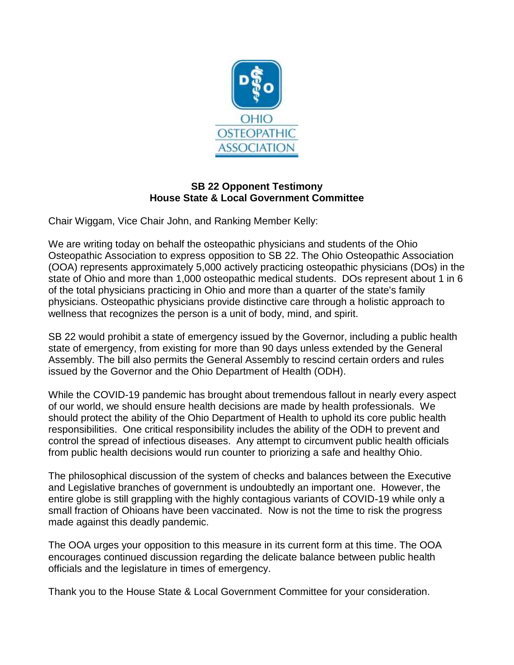

## **SB 22 Opponent Testimony House State & Local Government Committee**

Chair Wiggam, Vice Chair John, and Ranking Member Kelly:

We are writing today on behalf the osteopathic physicians and students of the Ohio Osteopathic Association to express opposition to SB 22. The Ohio Osteopathic Association (OOA) represents approximately 5,000 actively practicing osteopathic physicians (DOs) in the state of Ohio and more than 1,000 osteopathic medical students. DOs represent about 1 in 6 of the total physicians practicing in Ohio and more than a quarter of the state's family physicians. Osteopathic physicians provide distinctive care through a holistic approach to wellness that recognizes the person is a unit of body, mind, and spirit.

SB 22 would prohibit a state of emergency issued by the Governor, including a public health state of emergency, from existing for more than 90 days unless extended by the General Assembly. The bill also permits the General Assembly to rescind certain orders and rules issued by the Governor and the Ohio Department of Health (ODH).

While the COVID-19 pandemic has brought about tremendous fallout in nearly every aspect of our world, we should ensure health decisions are made by health professionals. We should protect the ability of the Ohio Department of Health to uphold its core public health responsibilities. One critical responsibility includes the ability of the ODH to prevent and control the spread of infectious diseases. Any attempt to circumvent public health officials from public health decisions would run counter to priorizing a safe and healthy Ohio.

The philosophical discussion of the system of checks and balances between the Executive and Legislative branches of government is undoubtedly an important one. However, the entire globe is still grappling with the highly contagious variants of COVID-19 while only a small fraction of Ohioans have been vaccinated. Now is not the time to risk the progress made against this deadly pandemic.

The OOA urges your opposition to this measure in its current form at this time. The OOA encourages continued discussion regarding the delicate balance between public health officials and the legislature in times of emergency.

Thank you to the House State & Local Government Committee for your consideration.